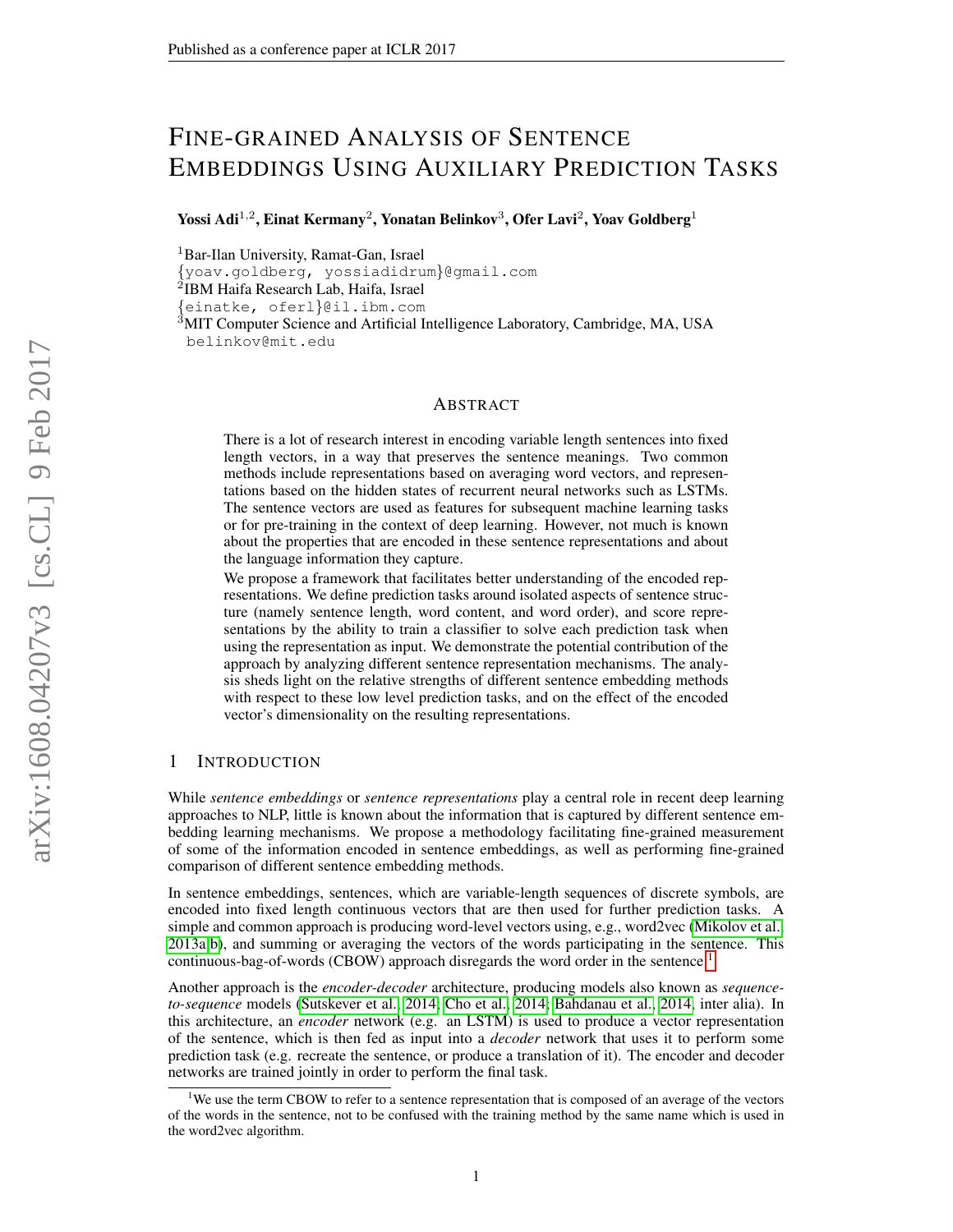# FINE-GRAINED ANALYSIS OF SENTENCE EMBEDDINGS USING AUXILIARY PREDICTION TASKS

Yossi Adi $^{1,2}$ , Einat Kermany $^2$ , Yonatan Belinkov $^3$ , Ofer Lavi $^2$ , Yoav Goldberg $^1$ 

<sup>1</sup>Bar-Ilan University, Ramat-Gan, Israel

{yoav.goldberg, yossiadidrum}@gmail.com <sup>2</sup>IBM Haifa Research Lab, Haifa, Israel

{einatke, oferl}@il.ibm.com

<sup>3</sup>MIT Computer Science and Artificial Intelligence Laboratory, Cambridge, MA, USA belinkov@mit.edu

#### ABSTRACT

There is a lot of research interest in encoding variable length sentences into fixed length vectors, in a way that preserves the sentence meanings. Two common methods include representations based on averaging word vectors, and representations based on the hidden states of recurrent neural networks such as LSTMs. The sentence vectors are used as features for subsequent machine learning tasks or for pre-training in the context of deep learning. However, not much is known about the properties that are encoded in these sentence representations and about the language information they capture.

We propose a framework that facilitates better understanding of the encoded representations. We define prediction tasks around isolated aspects of sentence structure (namely sentence length, word content, and word order), and score representations by the ability to train a classifier to solve each prediction task when using the representation as input. We demonstrate the potential contribution of the approach by analyzing different sentence representation mechanisms. The analysis sheds light on the relative strengths of different sentence embedding methods with respect to these low level prediction tasks, and on the effect of the encoded vector's dimensionality on the resulting representations.

# 1 INTRODUCTION

While *sentence embeddings* or *sentence representations* play a central role in recent deep learning approaches to NLP, little is known about the information that is captured by different sentence embedding learning mechanisms. We propose a methodology facilitating fine-grained measurement of some of the information encoded in sentence embeddings, as well as performing fine-grained comparison of different sentence embedding methods.

In sentence embeddings, sentences, which are variable-length sequences of discrete symbols, are encoded into fixed length continuous vectors that are then used for further prediction tasks. A simple and common approach is producing word-level vectors using, e.g., word2vec [\(Mikolov et al.,](#page-9-0) [2013a](#page-9-0)[;b\)](#page-9-1), and summing or averaging the vectors of the words participating in the sentence. This continuous-bag-of-words (CBOW) approach disregards the word order in the sentence.<sup>[1](#page-0-0)</sup>

Another approach is the *encoder-decoder* architecture, producing models also known as *sequenceto-sequence* models [\(Sutskever et al., 2014;](#page-9-2) [Cho et al., 2014;](#page-8-0) [Bahdanau et al., 2014,](#page-8-1) inter alia). In this architecture, an *encoder* network (e.g. an LSTM) is used to produce a vector representation of the sentence, which is then fed as input into a *decoder* network that uses it to perform some prediction task (e.g. recreate the sentence, or produce a translation of it). The encoder and decoder networks are trained jointly in order to perform the final task.

<span id="page-0-0"></span><sup>&</sup>lt;sup>1</sup>We use the term CBOW to refer to a sentence representation that is composed of an average of the vectors of the words in the sentence, not to be confused with the training method by the same name which is used in the word2vec algorithm.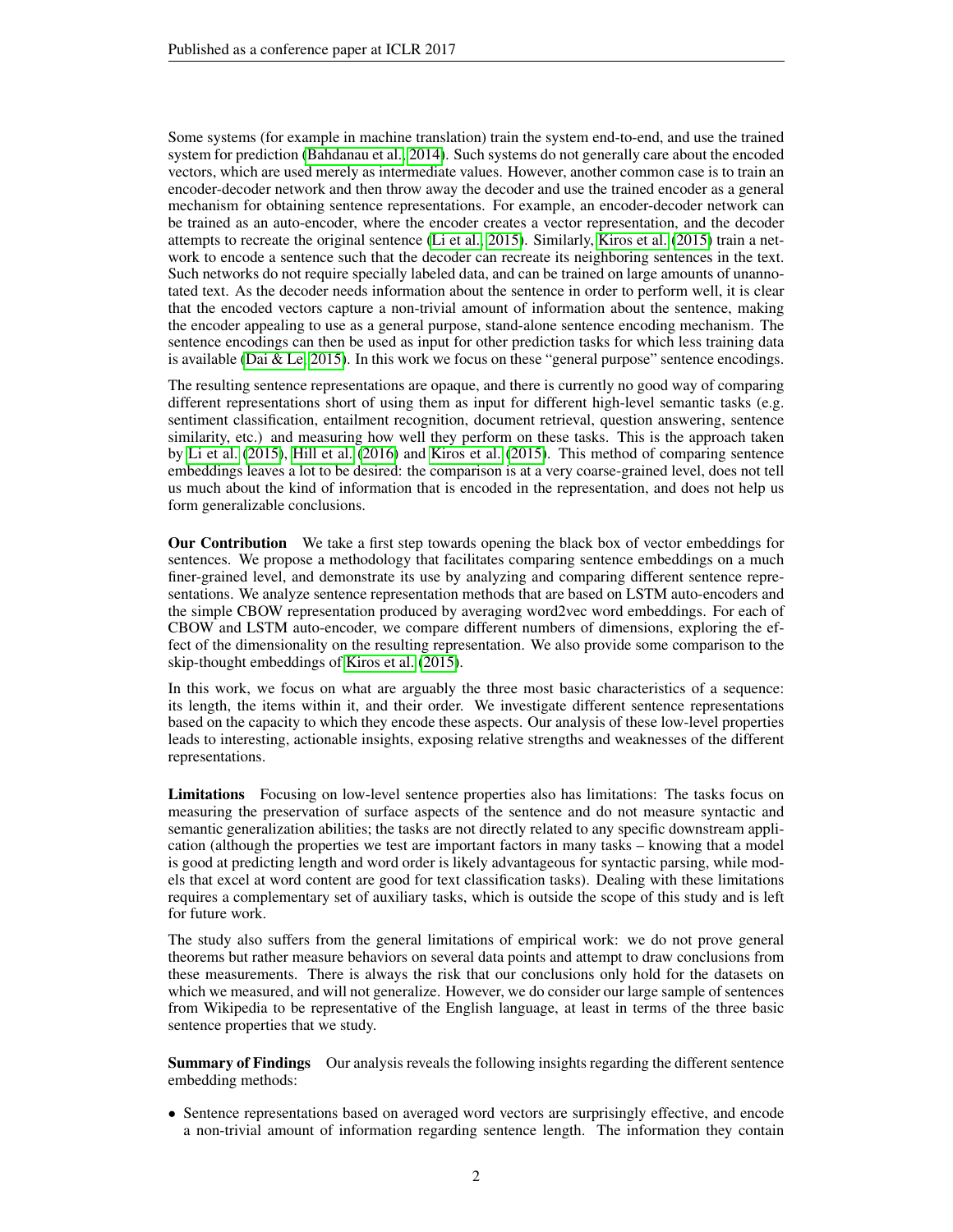Some systems (for example in machine translation) train the system end-to-end, and use the trained system for prediction [\(Bahdanau et al., 2014\)](#page-8-1). Such systems do not generally care about the encoded vectors, which are used merely as intermediate values. However, another common case is to train an encoder-decoder network and then throw away the decoder and use the trained encoder as a general mechanism for obtaining sentence representations. For example, an encoder-decoder network can be trained as an auto-encoder, where the encoder creates a vector representation, and the decoder attempts to recreate the original sentence [\(Li et al., 2015\)](#page-9-3). Similarly, [Kiros et al.](#page-9-4) [\(2015\)](#page-9-4) train a network to encode a sentence such that the decoder can recreate its neighboring sentences in the text. Such networks do not require specially labeled data, and can be trained on large amounts of unannotated text. As the decoder needs information about the sentence in order to perform well, it is clear that the encoded vectors capture a non-trivial amount of information about the sentence, making the encoder appealing to use as a general purpose, stand-alone sentence encoding mechanism. The sentence encodings can then be used as input for other prediction tasks for which less training data is available [\(Dai & Le, 2015\)](#page-8-2). In this work we focus on these "general purpose" sentence encodings.

The resulting sentence representations are opaque, and there is currently no good way of comparing different representations short of using them as input for different high-level semantic tasks (e.g. sentiment classification, entailment recognition, document retrieval, question answering, sentence similarity, etc.) and measuring how well they perform on these tasks. This is the approach taken by [Li et al.](#page-9-3) [\(2015\)](#page-9-3), [Hill et al.](#page-8-3) [\(2016\)](#page-8-3) and [Kiros et al.](#page-9-4) [\(2015\)](#page-9-4). This method of comparing sentence embeddings leaves a lot to be desired: the comparison is at a very coarse-grained level, does not tell us much about the kind of information that is encoded in the representation, and does not help us form generalizable conclusions.

Our Contribution We take a first step towards opening the black box of vector embeddings for sentences. We propose a methodology that facilitates comparing sentence embeddings on a much finer-grained level, and demonstrate its use by analyzing and comparing different sentence representations. We analyze sentence representation methods that are based on LSTM auto-encoders and the simple CBOW representation produced by averaging word2vec word embeddings. For each of CBOW and LSTM auto-encoder, we compare different numbers of dimensions, exploring the effect of the dimensionality on the resulting representation. We also provide some comparison to the skip-thought embeddings of [Kiros et al.](#page-9-4) [\(2015\)](#page-9-4).

In this work, we focus on what are arguably the three most basic characteristics of a sequence: its length, the items within it, and their order. We investigate different sentence representations based on the capacity to which they encode these aspects. Our analysis of these low-level properties leads to interesting, actionable insights, exposing relative strengths and weaknesses of the different representations.

Limitations Focusing on low-level sentence properties also has limitations: The tasks focus on measuring the preservation of surface aspects of the sentence and do not measure syntactic and semantic generalization abilities; the tasks are not directly related to any specific downstream application (although the properties we test are important factors in many tasks – knowing that a model is good at predicting length and word order is likely advantageous for syntactic parsing, while models that excel at word content are good for text classification tasks). Dealing with these limitations requires a complementary set of auxiliary tasks, which is outside the scope of this study and is left for future work.

The study also suffers from the general limitations of empirical work: we do not prove general theorems but rather measure behaviors on several data points and attempt to draw conclusions from these measurements. There is always the risk that our conclusions only hold for the datasets on which we measured, and will not generalize. However, we do consider our large sample of sentences from Wikipedia to be representative of the English language, at least in terms of the three basic sentence properties that we study.

Summary of Findings Our analysis reveals the following insights regarding the different sentence embedding methods:

• Sentence representations based on averaged word vectors are surprisingly effective, and encode a non-trivial amount of information regarding sentence length. The information they contain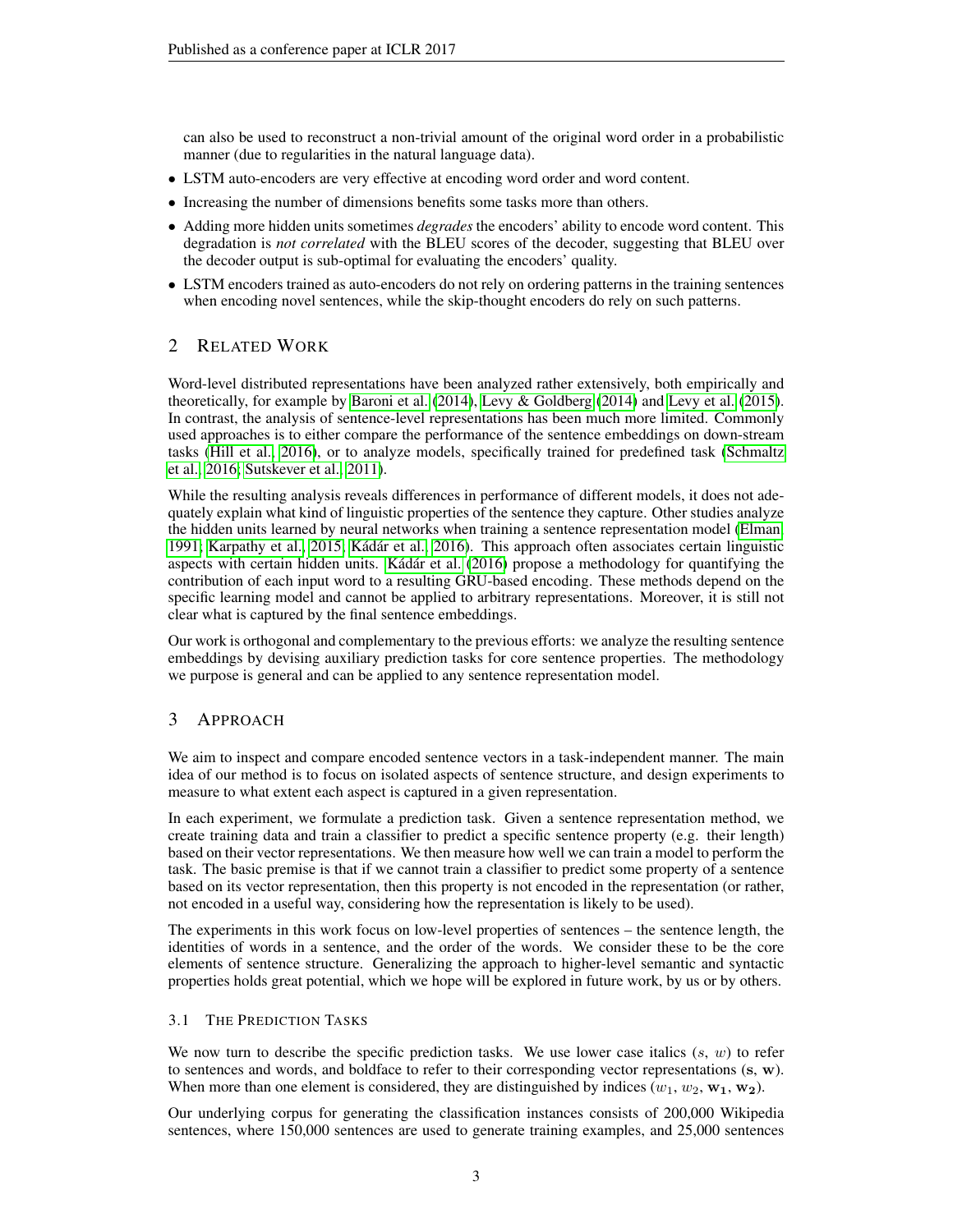can also be used to reconstruct a non-trivial amount of the original word order in a probabilistic manner (due to regularities in the natural language data).

- LSTM auto-encoders are very effective at encoding word order and word content.
- Increasing the number of dimensions benefits some tasks more than others.
- Adding more hidden units sometimes *degrades* the encoders' ability to encode word content. This degradation is *not correlated* with the BLEU scores of the decoder, suggesting that BLEU over the decoder output is sub-optimal for evaluating the encoders' quality.
- LSTM encoders trained as auto-encoders do not rely on ordering patterns in the training sentences when encoding novel sentences, while the skip-thought encoders do rely on such patterns.

# 2 RELATED WORK

Word-level distributed representations have been analyzed rather extensively, both empirically and theoretically, for example by [Baroni et al.](#page-8-4) [\(2014\)](#page-8-4), [Levy & Goldberg](#page-9-5) [\(2014\)](#page-9-5) and [Levy et al.](#page-9-6) [\(2015\)](#page-9-6). In contrast, the analysis of sentence-level representations has been much more limited. Commonly used approaches is to either compare the performance of the sentence embeddings on down-stream tasks [\(Hill et al., 2016\)](#page-8-3), or to analyze models, specifically trained for predefined task [\(Schmaltz](#page-9-7) [et al., 2016;](#page-9-7) [Sutskever et al., 2011\)](#page-9-8).

While the resulting analysis reveals differences in performance of different models, it does not adequately explain what kind of linguistic properties of the sentence they capture. Other studies analyze the hidden units learned by neural networks when training a sentence representation model [\(Elman,](#page-8-5) [1991;](#page-8-5) [Karpathy et al., 2015;](#page-8-6) Kádár et al., 2016). This approach often associates certain linguistic aspects with certain hidden units. Kádár et al. [\(2016\)](#page-8-7) propose a methodology for quantifying the contribution of each input word to a resulting GRU-based encoding. These methods depend on the specific learning model and cannot be applied to arbitrary representations. Moreover, it is still not clear what is captured by the final sentence embeddings.

Our work is orthogonal and complementary to the previous efforts: we analyze the resulting sentence embeddings by devising auxiliary prediction tasks for core sentence properties. The methodology we purpose is general and can be applied to any sentence representation model.

# 3 APPROACH

We aim to inspect and compare encoded sentence vectors in a task-independent manner. The main idea of our method is to focus on isolated aspects of sentence structure, and design experiments to measure to what extent each aspect is captured in a given representation.

In each experiment, we formulate a prediction task. Given a sentence representation method, we create training data and train a classifier to predict a specific sentence property (e.g. their length) based on their vector representations. We then measure how well we can train a model to perform the task. The basic premise is that if we cannot train a classifier to predict some property of a sentence based on its vector representation, then this property is not encoded in the representation (or rather, not encoded in a useful way, considering how the representation is likely to be used).

The experiments in this work focus on low-level properties of sentences – the sentence length, the identities of words in a sentence, and the order of the words. We consider these to be the core elements of sentence structure. Generalizing the approach to higher-level semantic and syntactic properties holds great potential, which we hope will be explored in future work, by us or by others.

## 3.1 THE PREDICTION TASKS

We now turn to describe the specific prediction tasks. We use lower case italics  $(s, w)$  to refer to sentences and words, and boldface to refer to their corresponding vector representations (s, w). When more than one element is considered, they are distinguished by indices  $(w_1, w_2, w_1, w_2)$ .

Our underlying corpus for generating the classification instances consists of 200,000 Wikipedia sentences, where 150,000 sentences are used to generate training examples, and 25,000 sentences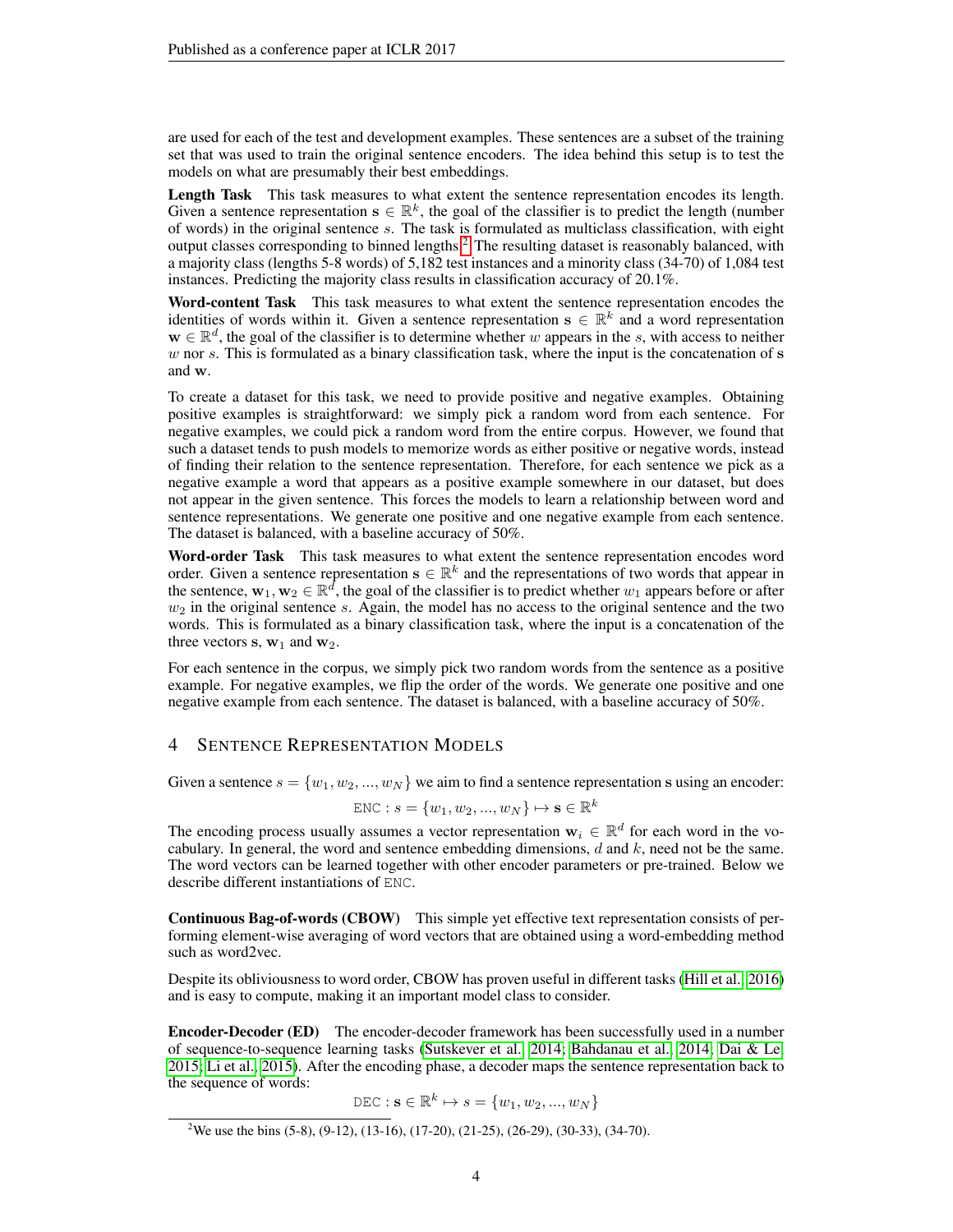are used for each of the test and development examples. These sentences are a subset of the training set that was used to train the original sentence encoders. The idea behind this setup is to test the models on what are presumably their best embeddings.

Length Task This task measures to what extent the sentence representation encodes its length. Given a sentence representation  $s \in \mathbb{R}^k$ , the goal of the classifier is to predict the length (number of words) in the original sentence s. The task is formulated as multiclass classification, with eight output classes corresponding to binned lengths.[2](#page-3-0) The resulting dataset is reasonably balanced, with a majority class (lengths 5-8 words) of 5,182 test instances and a minority class (34-70) of 1,084 test instances. Predicting the majority class results in classification accuracy of 20.1%.

Word-content Task This task measures to what extent the sentence representation encodes the identities of words within it. Given a sentence representation  $s \in \mathbb{R}^k$  and a word representation  $\mathbf{w} \in \mathbb{R}^d$ , the goal of the classifier is to determine whether w appears in the s, with access to neither  $w$  nor  $s$ . This is formulated as a binary classification task, where the input is the concatenation of  $s$ and w.

To create a dataset for this task, we need to provide positive and negative examples. Obtaining positive examples is straightforward: we simply pick a random word from each sentence. For negative examples, we could pick a random word from the entire corpus. However, we found that such a dataset tends to push models to memorize words as either positive or negative words, instead of finding their relation to the sentence representation. Therefore, for each sentence we pick as a negative example a word that appears as a positive example somewhere in our dataset, but does not appear in the given sentence. This forces the models to learn a relationship between word and sentence representations. We generate one positive and one negative example from each sentence. The dataset is balanced, with a baseline accuracy of 50%.

Word-order Task This task measures to what extent the sentence representation encodes word order. Given a sentence representation  $s \in \mathbb{R}^k$  and the representations of two words that appear in the sentence,  $w_1, w_2 \in \mathbb{R}^d$ , the goal of the classifier is to predict whether  $w_1$  appears before or after  $w_2$  in the original sentence s. Again, the model has no access to the original sentence and the two words. This is formulated as a binary classification task, where the input is a concatenation of the three vectors  $s, w_1$  and  $w_2$ .

For each sentence in the corpus, we simply pick two random words from the sentence as a positive example. For negative examples, we flip the order of the words. We generate one positive and one negative example from each sentence. The dataset is balanced, with a baseline accuracy of 50%.

## 4 SENTENCE REPRESENTATION MODELS

Given a sentence  $s = \{w_1, w_2, ..., w_N\}$  we aim to find a sentence representation s using an encoder:

$$
\text{ENC}: s = \{w_1, w_2, ..., w_N\} \mapsto \mathbf{s} \in \mathbb{R}^k
$$

The encoding process usually assumes a vector representation  $w_i \in \mathbb{R}^d$  for each word in the vocabulary. In general, the word and sentence embedding dimensions,  $d$  and  $k$ , need not be the same. The word vectors can be learned together with other encoder parameters or pre-trained. Below we describe different instantiations of ENC.

Continuous Bag-of-words (CBOW) This simple yet effective text representation consists of performing element-wise averaging of word vectors that are obtained using a word-embedding method such as word2vec.

Despite its obliviousness to word order, CBOW has proven useful in different tasks [\(Hill et al., 2016\)](#page-8-3) and is easy to compute, making it an important model class to consider.

Encoder-Decoder (ED) The encoder-decoder framework has been successfully used in a number of sequence-to-sequence learning tasks [\(Sutskever et al., 2014;](#page-9-2) [Bahdanau et al., 2014;](#page-8-1) [Dai & Le,](#page-8-2) [2015;](#page-8-2) [Li et al., 2015\)](#page-9-3). After the encoding phase, a decoder maps the sentence representation back to the sequence of words:

DEC :  $\mathbf{s} \in \mathbb{R}^k \mapsto s = \{w_1, w_2, ..., w_N\}$ 

<span id="page-3-0"></span><sup>&</sup>lt;sup>2</sup>We use the bins (5-8), (9-12), (13-16), (17-20), (21-25), (26-29), (30-33), (34-70).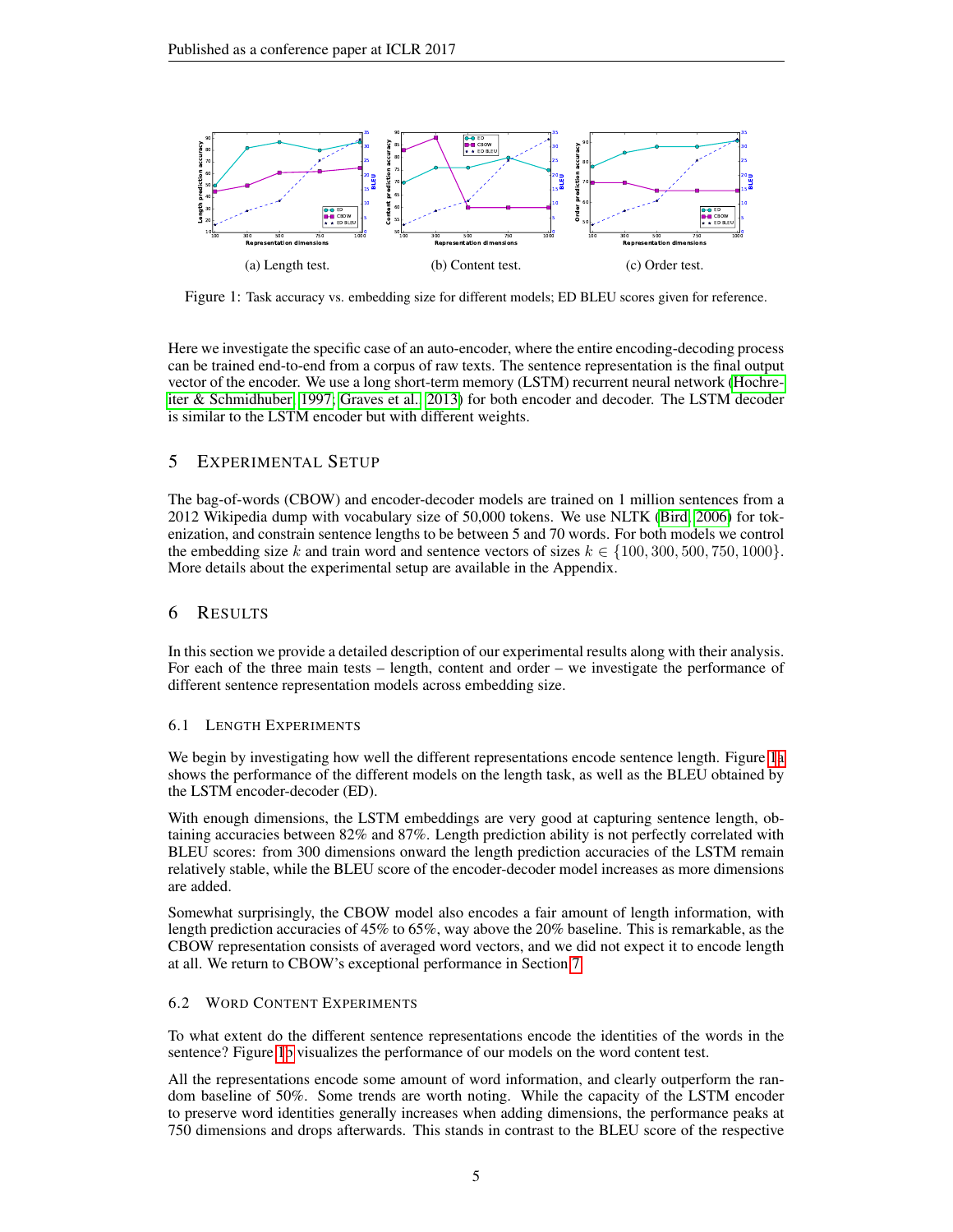<span id="page-4-0"></span>

Figure 1: Task accuracy vs. embedding size for different models; ED BLEU scores given for reference.

Here we investigate the specific case of an auto-encoder, where the entire encoding-decoding process can be trained end-to-end from a corpus of raw texts. The sentence representation is the final output vector of the encoder. We use a long short-term memory (LSTM) recurrent neural network [\(Hochre](#page-8-8)[iter & Schmidhuber, 1997;](#page-8-8) [Graves et al., 2013\)](#page-8-9) for both encoder and decoder. The LSTM decoder is similar to the LSTM encoder but with different weights.

# 5 EXPERIMENTAL SETUP

The bag-of-words (CBOW) and encoder-decoder models are trained on 1 million sentences from a 2012 Wikipedia dump with vocabulary size of 50,000 tokens. We use NLTK [\(Bird, 2006\)](#page-8-10) for tokenization, and constrain sentence lengths to be between 5 and 70 words. For both models we control the embedding size k and train word and sentence vectors of sizes  $k \in \{100, 300, 500, 750, 1000\}$ . More details about the experimental setup are available in the Appendix.

## 6 RESULTS

In this section we provide a detailed description of our experimental results along with their analysis. For each of the three main tests – length, content and order – we investigate the performance of different sentence representation models across embedding size.

## 6.1 LENGTH EXPERIMENTS

We begin by investigating how well the different representations encode sentence length. Figure [1a](#page-4-0) shows the performance of the different models on the length task, as well as the BLEU obtained by the LSTM encoder-decoder (ED).

With enough dimensions, the LSTM embeddings are very good at capturing sentence length, obtaining accuracies between 82% and 87%. Length prediction ability is not perfectly correlated with BLEU scores: from 300 dimensions onward the length prediction accuracies of the LSTM remain relatively stable, while the BLEU score of the encoder-decoder model increases as more dimensions are added.

Somewhat surprisingly, the CBOW model also encodes a fair amount of length information, with length prediction accuracies of 45% to 65%, way above the 20% baseline. This is remarkable, as the CBOW representation consists of averaged word vectors, and we did not expect it to encode length at all. We return to CBOW's exceptional performance in Section [7.](#page-5-0)

## 6.2 WORD CONTENT EXPERIMENTS

To what extent do the different sentence representations encode the identities of the words in the sentence? Figure [1b](#page-4-0) visualizes the performance of our models on the word content test.

All the representations encode some amount of word information, and clearly outperform the random baseline of 50%. Some trends are worth noting. While the capacity of the LSTM encoder to preserve word identities generally increases when adding dimensions, the performance peaks at 750 dimensions and drops afterwards. This stands in contrast to the BLEU score of the respective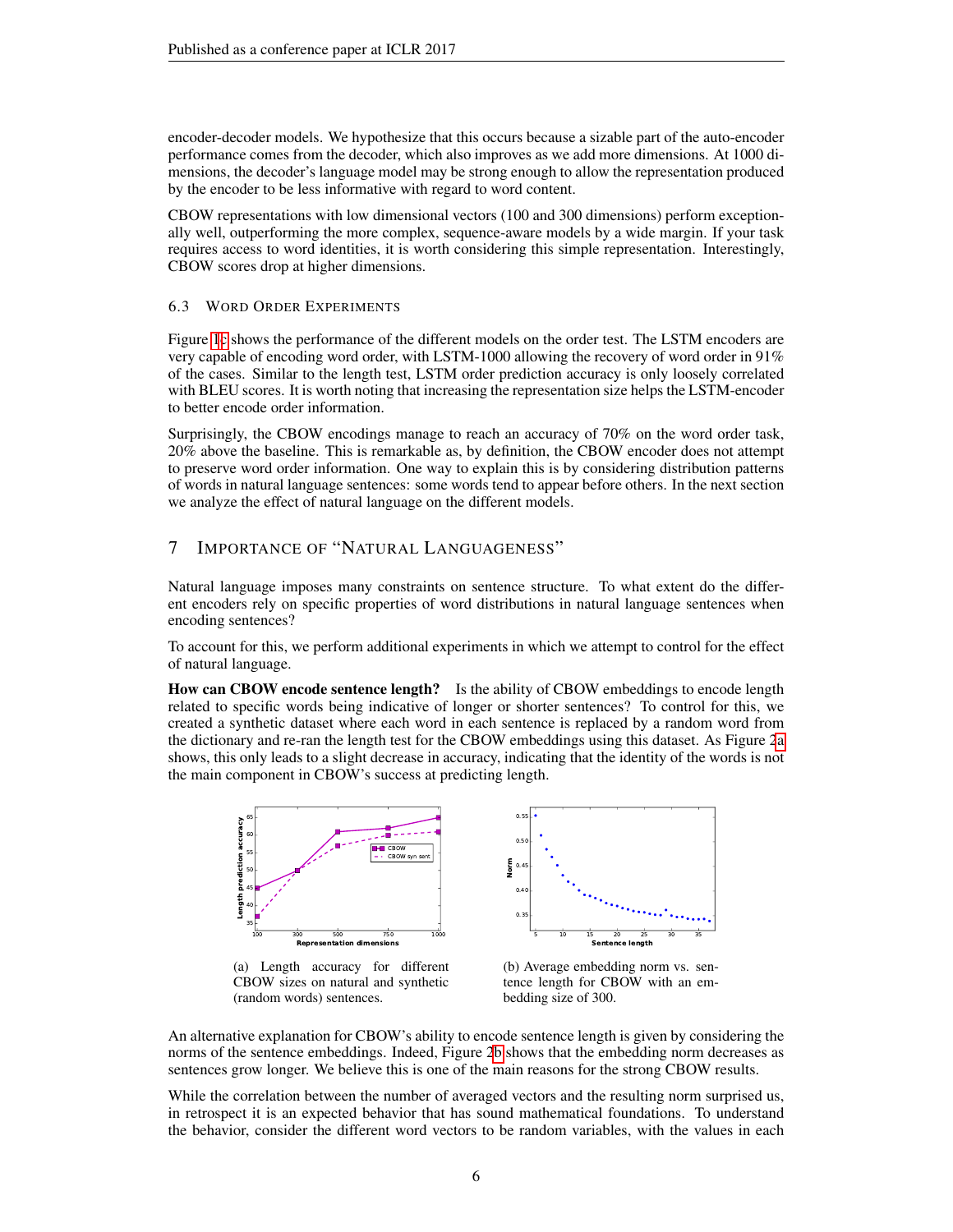encoder-decoder models. We hypothesize that this occurs because a sizable part of the auto-encoder performance comes from the decoder, which also improves as we add more dimensions. At 1000 dimensions, the decoder's language model may be strong enough to allow the representation produced by the encoder to be less informative with regard to word content.

CBOW representations with low dimensional vectors (100 and 300 dimensions) perform exceptionally well, outperforming the more complex, sequence-aware models by a wide margin. If your task requires access to word identities, it is worth considering this simple representation. Interestingly, CBOW scores drop at higher dimensions.

6.3 WORD ORDER EXPERIMENTS

Figure [1c](#page-4-0) shows the performance of the different models on the order test. The LSTM encoders are very capable of encoding word order, with LSTM-1000 allowing the recovery of word order in 91% of the cases. Similar to the length test, LSTM order prediction accuracy is only loosely correlated with BLEU scores. It is worth noting that increasing the representation size helps the LSTM-encoder to better encode order information.

Surprisingly, the CBOW encodings manage to reach an accuracy of 70% on the word order task, 20% above the baseline. This is remarkable as, by definition, the CBOW encoder does not attempt to preserve word order information. One way to explain this is by considering distribution patterns of words in natural language sentences: some words tend to appear before others. In the next section we analyze the effect of natural language on the different models.

# <span id="page-5-0"></span>7 IMPORTANCE OF "NATURAL LANGUAGENESS"

Natural language imposes many constraints on sentence structure. To what extent do the different encoders rely on specific properties of word distributions in natural language sentences when encoding sentences?

To account for this, we perform additional experiments in which we attempt to control for the effect of natural language.

How can CBOW encode sentence length? Is the ability of CBOW embeddings to encode length related to specific words being indicative of longer or shorter sentences? To control for this, we created a synthetic dataset where each word in each sentence is replaced by a random word from the dictionary and re-ran the length test for the CBOW embeddings using this dataset. As Figure [2a](#page-5-1) shows, this only leads to a slight decrease in accuracy, indicating that the identity of the words is not the main component in CBOW's success at predicting length.

<span id="page-5-1"></span>

(a) Length accuracy for different CBOW sizes on natural and synthetic (random words) sentences.

(b) Average embedding norm vs. sentence length for CBOW with an embedding size of 300.

An alternative explanation for CBOW's ability to encode sentence length is given by considering the norms of the sentence embeddings. Indeed, Figure [2b](#page-5-1) shows that the embedding norm decreases as sentences grow longer. We believe this is one of the main reasons for the strong CBOW results.

While the correlation between the number of averaged vectors and the resulting norm surprised us, in retrospect it is an expected behavior that has sound mathematical foundations. To understand the behavior, consider the different word vectors to be random variables, with the values in each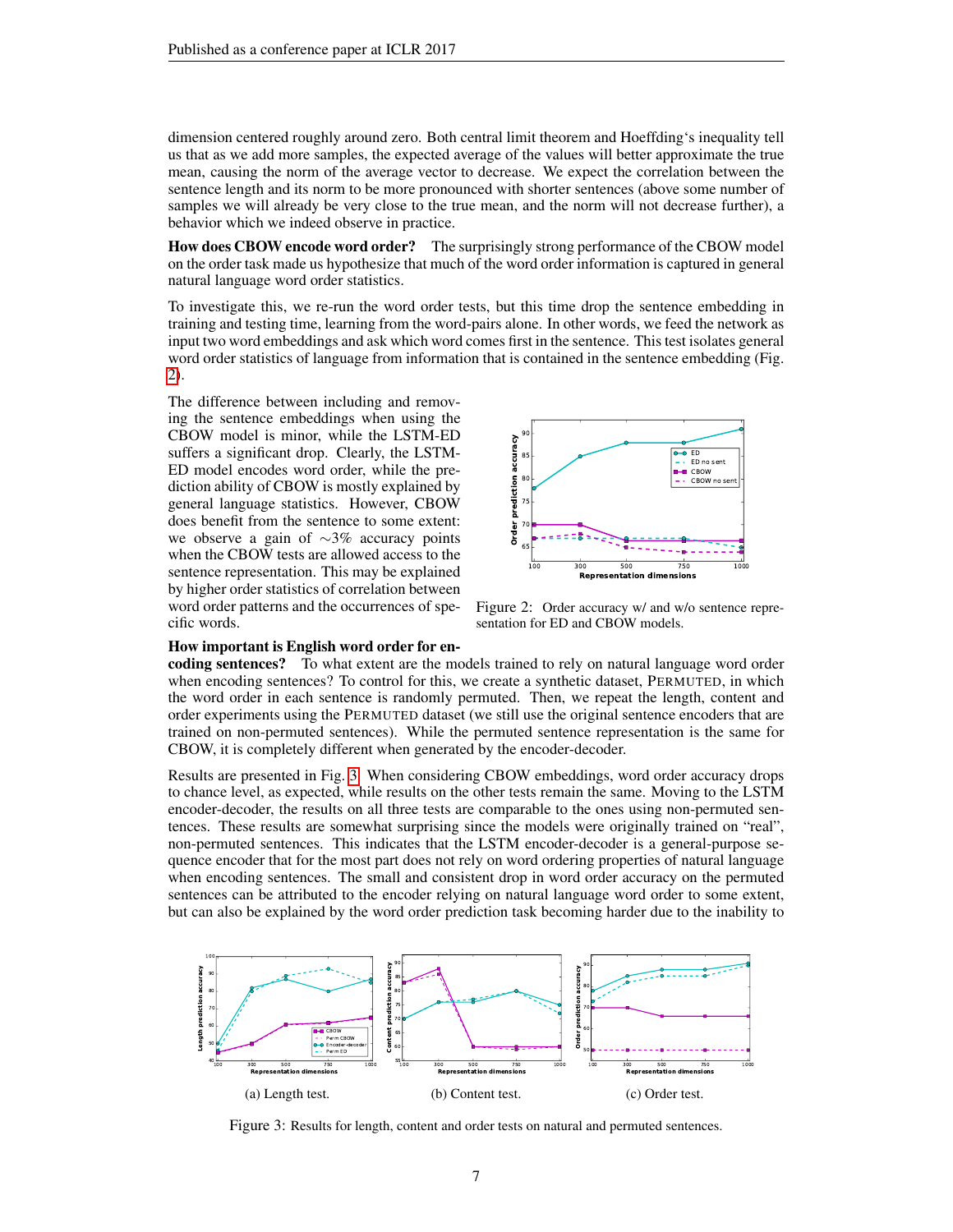dimension centered roughly around zero. Both central limit theorem and Hoeffding's inequality tell us that as we add more samples, the expected average of the values will better approximate the true mean, causing the norm of the average vector to decrease. We expect the correlation between the sentence length and its norm to be more pronounced with shorter sentences (above some number of samples we will already be very close to the true mean, and the norm will not decrease further), a behavior which we indeed observe in practice.

How does CBOW encode word order? The surprisingly strong performance of the CBOW model on the order task made us hypothesize that much of the word order information is captured in general natural language word order statistics.

To investigate this, we re-run the word order tests, but this time drop the sentence embedding in training and testing time, learning from the word-pairs alone. In other words, we feed the network as input two word embeddings and ask which word comes first in the sentence. This test isolates general word order statistics of language from information that is contained in the sentence embedding (Fig. [2\)](#page-6-0).

The difference between including and removing the sentence embeddings when using the CBOW model is minor, while the LSTM-ED suffers a significant drop. Clearly, the LSTM-ED model encodes word order, while the prediction ability of CBOW is mostly explained by general language statistics. However, CBOW does benefit from the sentence to some extent: we observe a gain of ∼3% accuracy points when the CBOW tests are allowed access to the sentence representation. This may be explained by higher order statistics of correlation between word order patterns and the occurrences of specific words.

<span id="page-6-0"></span>

Figure 2: Order accuracy w/ and w/o sentence representation for ED and CBOW models.

#### How important is English word order for en-

coding sentences? To what extent are the models trained to rely on natural language word order when encoding sentences? To control for this, we create a synthetic dataset, PERMUTED, in which the word order in each sentence is randomly permuted. Then, we repeat the length, content and order experiments using the PERMUTED dataset (we still use the original sentence encoders that are trained on non-permuted sentences). While the permuted sentence representation is the same for CBOW, it is completely different when generated by the encoder-decoder.

Results are presented in Fig. [3.](#page-6-1) When considering CBOW embeddings, word order accuracy drops to chance level, as expected, while results on the other tests remain the same. Moving to the LSTM encoder-decoder, the results on all three tests are comparable to the ones using non-permuted sentences. These results are somewhat surprising since the models were originally trained on "real", non-permuted sentences. This indicates that the LSTM encoder-decoder is a general-purpose sequence encoder that for the most part does not rely on word ordering properties of natural language when encoding sentences. The small and consistent drop in word order accuracy on the permuted sentences can be attributed to the encoder relying on natural language word order to some extent, but can also be explained by the word order prediction task becoming harder due to the inability to

<span id="page-6-1"></span>

Figure 3: Results for length, content and order tests on natural and permuted sentences.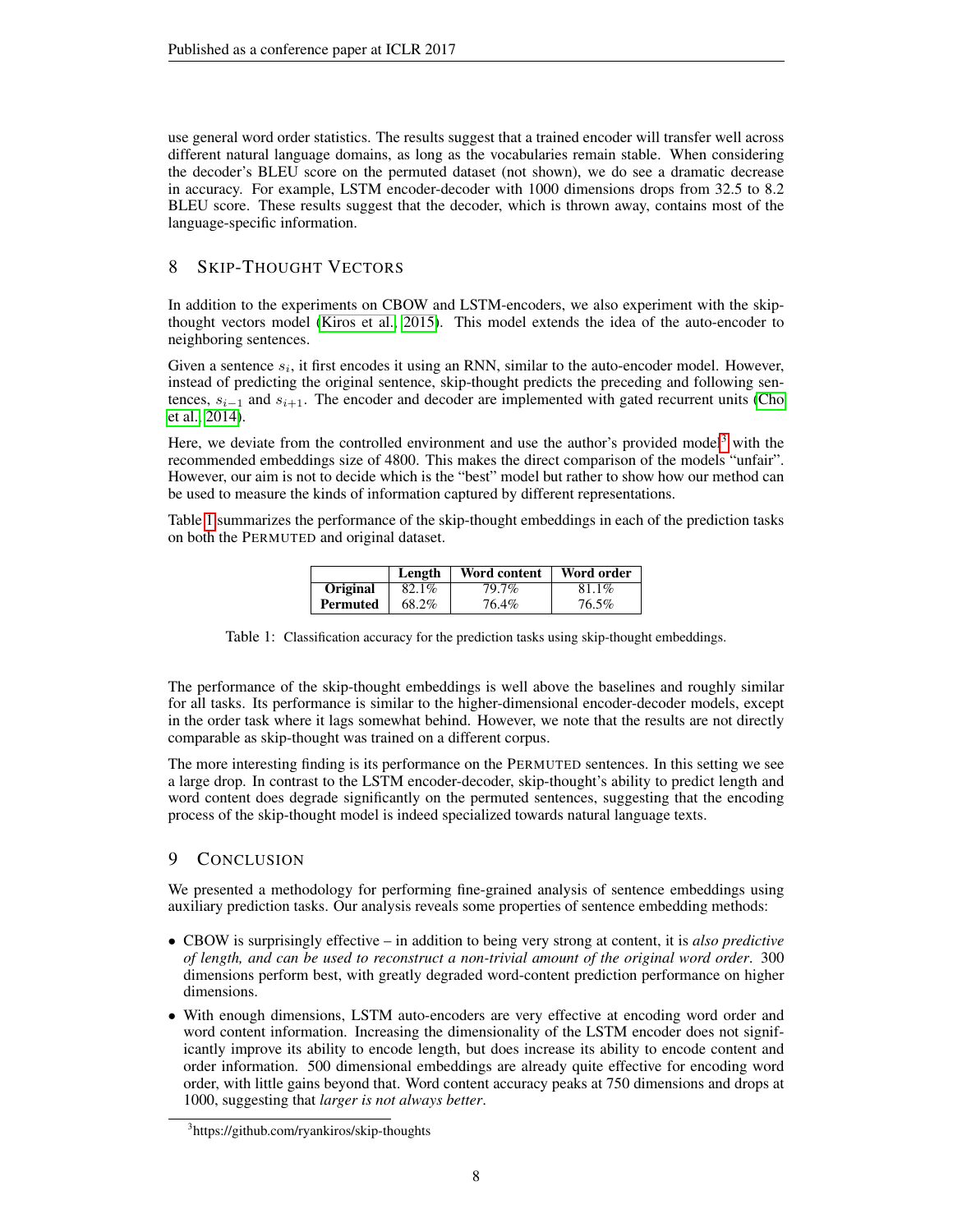use general word order statistics. The results suggest that a trained encoder will transfer well across different natural language domains, as long as the vocabularies remain stable. When considering the decoder's BLEU score on the permuted dataset (not shown), we do see a dramatic decrease in accuracy. For example, LSTM encoder-decoder with 1000 dimensions drops from 32.5 to 8.2 BLEU score. These results suggest that the decoder, which is thrown away, contains most of the language-specific information.

# 8 SKIP-THOUGHT VECTORS

In addition to the experiments on CBOW and LSTM-encoders, we also experiment with the skipthought vectors model [\(Kiros et al., 2015\)](#page-9-4). This model extends the idea of the auto-encoder to neighboring sentences.

Given a sentence  $s_i$ , it first encodes it using an RNN, similar to the auto-encoder model. However, instead of predicting the original sentence, skip-thought predicts the preceding and following sentences,  $s_{i-1}$  and  $s_{i+1}$ . The encoder and decoder are implemented with gated recurrent units [\(Cho](#page-8-0) [et al., 2014\)](#page-8-0).

Here, we deviate from the controlled environment and use the author's provided model<sup>[3](#page-7-0)</sup> with the recommended embeddings size of 4800. This makes the direct comparison of the models "unfair". However, our aim is not to decide which is the "best" model but rather to show how our method can be used to measure the kinds of information captured by different representations.

<span id="page-7-1"></span>Table [1](#page-7-1) summarizes the performance of the skip-thought embeddings in each of the prediction tasks on both the PERMUTED and original dataset.

|          | Length | Word content | Word order |
|----------|--------|--------------|------------|
| Original | 82.1%  | 79.7%        | 81.1%      |
| Permuted | 68.2%  | 76.4%        | 76.5%      |

Table 1: Classification accuracy for the prediction tasks using skip-thought embeddings.

The performance of the skip-thought embeddings is well above the baselines and roughly similar for all tasks. Its performance is similar to the higher-dimensional encoder-decoder models, except in the order task where it lags somewhat behind. However, we note that the results are not directly comparable as skip-thought was trained on a different corpus.

The more interesting finding is its performance on the PERMUTED sentences. In this setting we see a large drop. In contrast to the LSTM encoder-decoder, skip-thought's ability to predict length and word content does degrade significantly on the permuted sentences, suggesting that the encoding process of the skip-thought model is indeed specialized towards natural language texts.

# 9 CONCLUSION

We presented a methodology for performing fine-grained analysis of sentence embeddings using auxiliary prediction tasks. Our analysis reveals some properties of sentence embedding methods:

- CBOW is surprisingly effective in addition to being very strong at content, it is *also predictive of length, and can be used to reconstruct a non-trivial amount of the original word order*. 300 dimensions perform best, with greatly degraded word-content prediction performance on higher dimensions.
- With enough dimensions, LSTM auto-encoders are very effective at encoding word order and word content information. Increasing the dimensionality of the LSTM encoder does not significantly improve its ability to encode length, but does increase its ability to encode content and order information. 500 dimensional embeddings are already quite effective for encoding word order, with little gains beyond that. Word content accuracy peaks at 750 dimensions and drops at 1000, suggesting that *larger is not always better*.

<span id="page-7-0"></span><sup>3</sup> https://github.com/ryankiros/skip-thoughts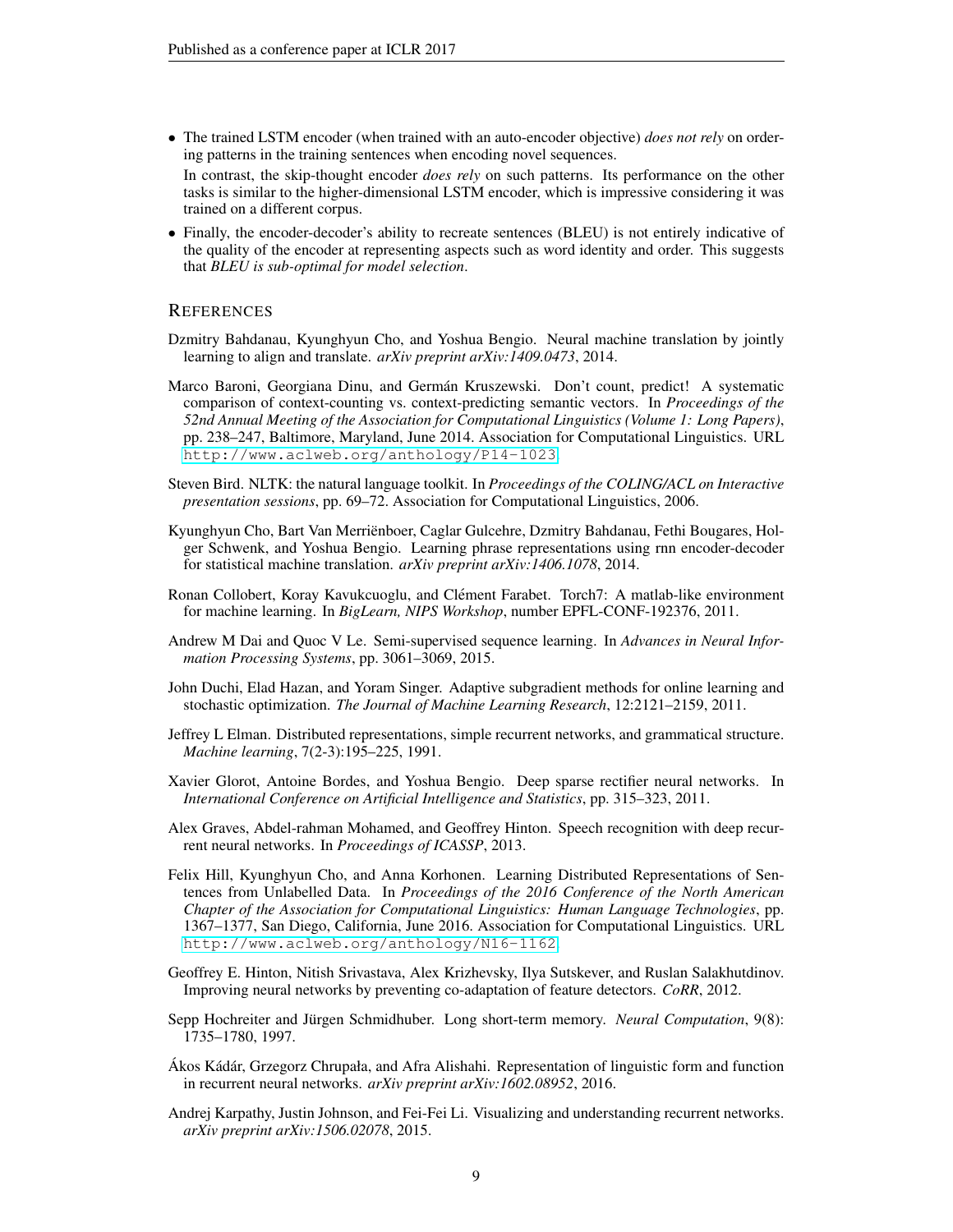trained on a different corpus.

- The trained LSTM encoder (when trained with an auto-encoder objective) *does not rely* on ordering patterns in the training sentences when encoding novel sequences. In contrast, the skip-thought encoder *does rely* on such patterns. Its performance on the other tasks is similar to the higher-dimensional LSTM encoder, which is impressive considering it was
- Finally, the encoder-decoder's ability to recreate sentences (BLEU) is not entirely indicative of the quality of the encoder at representing aspects such as word identity and order. This suggests that *BLEU is sub-optimal for model selection*.

### **REFERENCES**

- <span id="page-8-1"></span>Dzmitry Bahdanau, Kyunghyun Cho, and Yoshua Bengio. Neural machine translation by jointly learning to align and translate. *arXiv preprint arXiv:1409.0473*, 2014.
- <span id="page-8-4"></span>Marco Baroni, Georgiana Dinu, and German Kruszewski. Don't count, predict! A systematic ´ comparison of context-counting vs. context-predicting semantic vectors. In *Proceedings of the 52nd Annual Meeting of the Association for Computational Linguistics (Volume 1: Long Papers)*, pp. 238–247, Baltimore, Maryland, June 2014. Association for Computational Linguistics. URL <http://www.aclweb.org/anthology/P14-1023>.
- <span id="page-8-10"></span>Steven Bird. NLTK: the natural language toolkit. In *Proceedings of the COLING/ACL on Interactive presentation sessions*, pp. 69–72. Association for Computational Linguistics, 2006.
- <span id="page-8-0"></span>Kyunghyun Cho, Bart Van Merrienboer, Caglar Gulcehre, Dzmitry Bahdanau, Fethi Bougares, Hol- ¨ ger Schwenk, and Yoshua Bengio. Learning phrase representations using rnn encoder-decoder for statistical machine translation. *arXiv preprint arXiv:1406.1078*, 2014.
- <span id="page-8-11"></span>Ronan Collobert, Koray Kavukcuoglu, and Clément Farabet. Torch7: A matlab-like environment for machine learning. In *BigLearn, NIPS Workshop*, number EPFL-CONF-192376, 2011.
- <span id="page-8-2"></span>Andrew M Dai and Quoc V Le. Semi-supervised sequence learning. In *Advances in Neural Information Processing Systems*, pp. 3061–3069, 2015.
- <span id="page-8-13"></span>John Duchi, Elad Hazan, and Yoram Singer. Adaptive subgradient methods for online learning and stochastic optimization. *The Journal of Machine Learning Research*, 12:2121–2159, 2011.
- <span id="page-8-5"></span>Jeffrey L Elman. Distributed representations, simple recurrent networks, and grammatical structure. *Machine learning*, 7(2-3):195–225, 1991.
- <span id="page-8-14"></span>Xavier Glorot, Antoine Bordes, and Yoshua Bengio. Deep sparse rectifier neural networks. In *International Conference on Artificial Intelligence and Statistics*, pp. 315–323, 2011.
- <span id="page-8-9"></span>Alex Graves, Abdel-rahman Mohamed, and Geoffrey Hinton. Speech recognition with deep recurrent neural networks. In *Proceedings of ICASSP*, 2013.
- <span id="page-8-3"></span>Felix Hill, Kyunghyun Cho, and Anna Korhonen. Learning Distributed Representations of Sentences from Unlabelled Data. In *Proceedings of the 2016 Conference of the North American Chapter of the Association for Computational Linguistics: Human Language Technologies*, pp. 1367–1377, San Diego, California, June 2016. Association for Computational Linguistics. URL <http://www.aclweb.org/anthology/N16-1162>.
- <span id="page-8-12"></span>Geoffrey E. Hinton, Nitish Srivastava, Alex Krizhevsky, Ilya Sutskever, and Ruslan Salakhutdinov. Improving neural networks by preventing co-adaptation of feature detectors. *CoRR*, 2012.
- <span id="page-8-8"></span>Sepp Hochreiter and Jürgen Schmidhuber. Long short-term memory. *Neural Computation*, 9(8): 1735–1780, 1997.
- <span id="page-8-7"></span>Ákos Kádár, Grzegorz Chrupała, and Afra Alishahi. Representation of linguistic form and function in recurrent neural networks. *arXiv preprint arXiv:1602.08952*, 2016.
- <span id="page-8-6"></span>Andrej Karpathy, Justin Johnson, and Fei-Fei Li. Visualizing and understanding recurrent networks. *arXiv preprint arXiv:1506.02078*, 2015.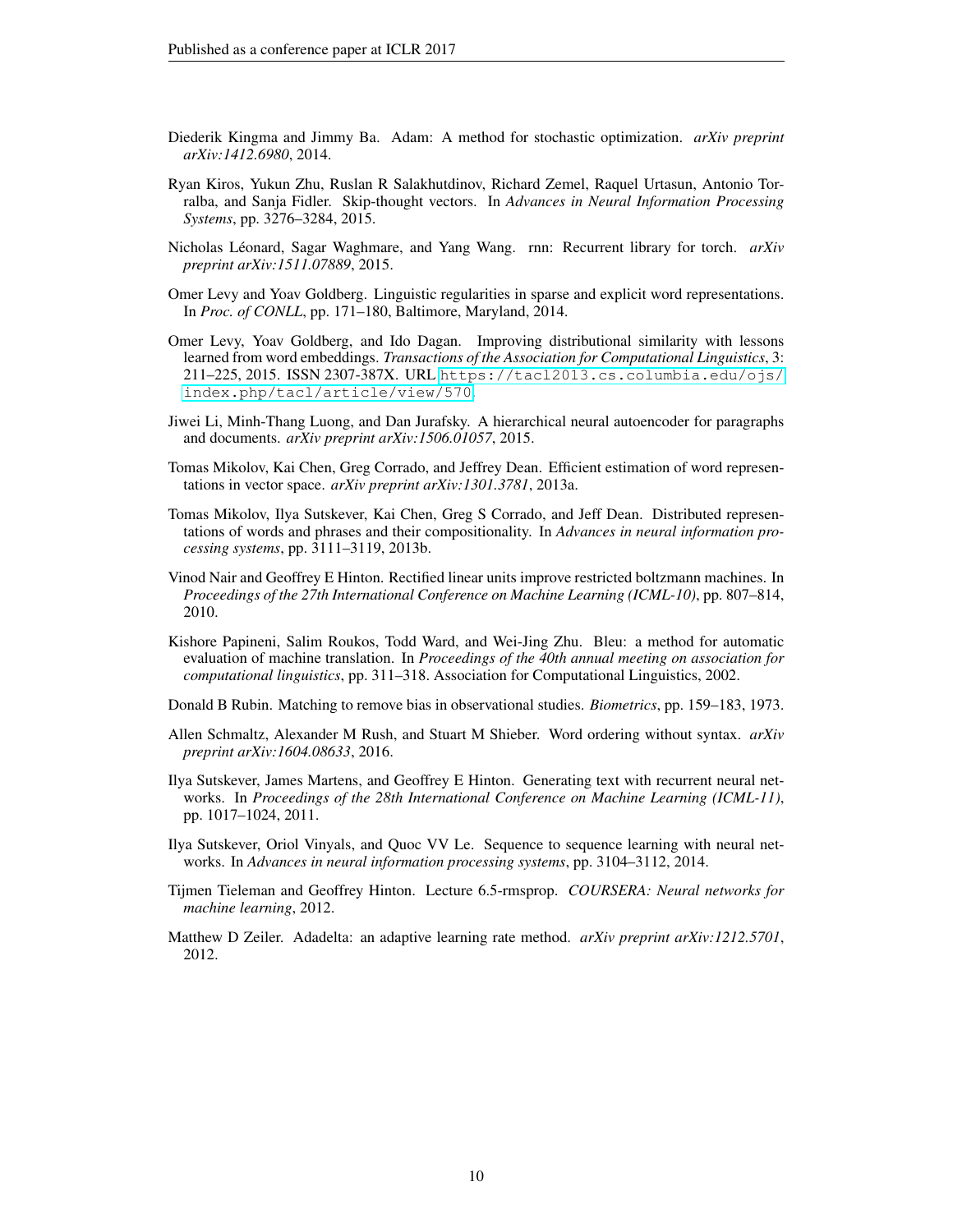- <span id="page-9-12"></span>Diederik Kingma and Jimmy Ba. Adam: A method for stochastic optimization. *arXiv preprint arXiv:1412.6980*, 2014.
- <span id="page-9-4"></span>Ryan Kiros, Yukun Zhu, Ruslan R Salakhutdinov, Richard Zemel, Raquel Urtasun, Antonio Torralba, and Sanja Fidler. Skip-thought vectors. In *Advances in Neural Information Processing Systems*, pp. 3276–3284, 2015.
- <span id="page-9-9"></span>Nicholas Léonard, Sagar Waghmare, and Yang Wang. rnn: Recurrent library for torch.  $arXiv$ *preprint arXiv:1511.07889*, 2015.
- <span id="page-9-5"></span>Omer Levy and Yoav Goldberg. Linguistic regularities in sparse and explicit word representations. In *Proc. of CONLL*, pp. 171–180, Baltimore, Maryland, 2014.
- <span id="page-9-6"></span>Omer Levy, Yoav Goldberg, and Ido Dagan. Improving distributional similarity with lessons learned from word embeddings. *Transactions of the Association for Computational Linguistics*, 3: 211–225, 2015. ISSN 2307-387X. URL [https://tacl2013.cs.columbia.edu/ojs/](https://tacl2013.cs.columbia.edu/ojs/index.php/tacl/article/view/570) [index.php/tacl/article/view/570](https://tacl2013.cs.columbia.edu/ojs/index.php/tacl/article/view/570).
- <span id="page-9-3"></span>Jiwei Li, Minh-Thang Luong, and Dan Jurafsky. A hierarchical neural autoencoder for paragraphs and documents. *arXiv preprint arXiv:1506.01057*, 2015.
- <span id="page-9-0"></span>Tomas Mikolov, Kai Chen, Greg Corrado, and Jeffrey Dean. Efficient estimation of word representations in vector space. *arXiv preprint arXiv:1301.3781*, 2013a.
- <span id="page-9-1"></span>Tomas Mikolov, Ilya Sutskever, Kai Chen, Greg S Corrado, and Jeff Dean. Distributed representations of words and phrases and their compositionality. In *Advances in neural information processing systems*, pp. 3111–3119, 2013b.
- <span id="page-9-14"></span>Vinod Nair and Geoffrey E Hinton. Rectified linear units improve restricted boltzmann machines. In *Proceedings of the 27th International Conference on Machine Learning (ICML-10)*, pp. 807–814, 2010.
- <span id="page-9-10"></span>Kishore Papineni, Salim Roukos, Todd Ward, and Wei-Jing Zhu. Bleu: a method for automatic evaluation of machine translation. In *Proceedings of the 40th annual meeting on association for computational linguistics*, pp. 311–318. Association for Computational Linguistics, 2002.

<span id="page-9-15"></span>Donald B Rubin. Matching to remove bias in observational studies. *Biometrics*, pp. 159–183, 1973.

- <span id="page-9-7"></span>Allen Schmaltz, Alexander M Rush, and Stuart M Shieber. Word ordering without syntax. *arXiv preprint arXiv:1604.08633*, 2016.
- <span id="page-9-8"></span>Ilya Sutskever, James Martens, and Geoffrey E Hinton. Generating text with recurrent neural networks. In *Proceedings of the 28th International Conference on Machine Learning (ICML-11)*, pp. 1017–1024, 2011.
- <span id="page-9-2"></span>Ilya Sutskever, Oriol Vinyals, and Quoc VV Le. Sequence to sequence learning with neural networks. In *Advances in neural information processing systems*, pp. 3104–3112, 2014.
- <span id="page-9-13"></span>Tijmen Tieleman and Geoffrey Hinton. Lecture 6.5-rmsprop. *COURSERA: Neural networks for machine learning*, 2012.
- <span id="page-9-11"></span>Matthew D Zeiler. Adadelta: an adaptive learning rate method. *arXiv preprint arXiv:1212.5701*, 2012.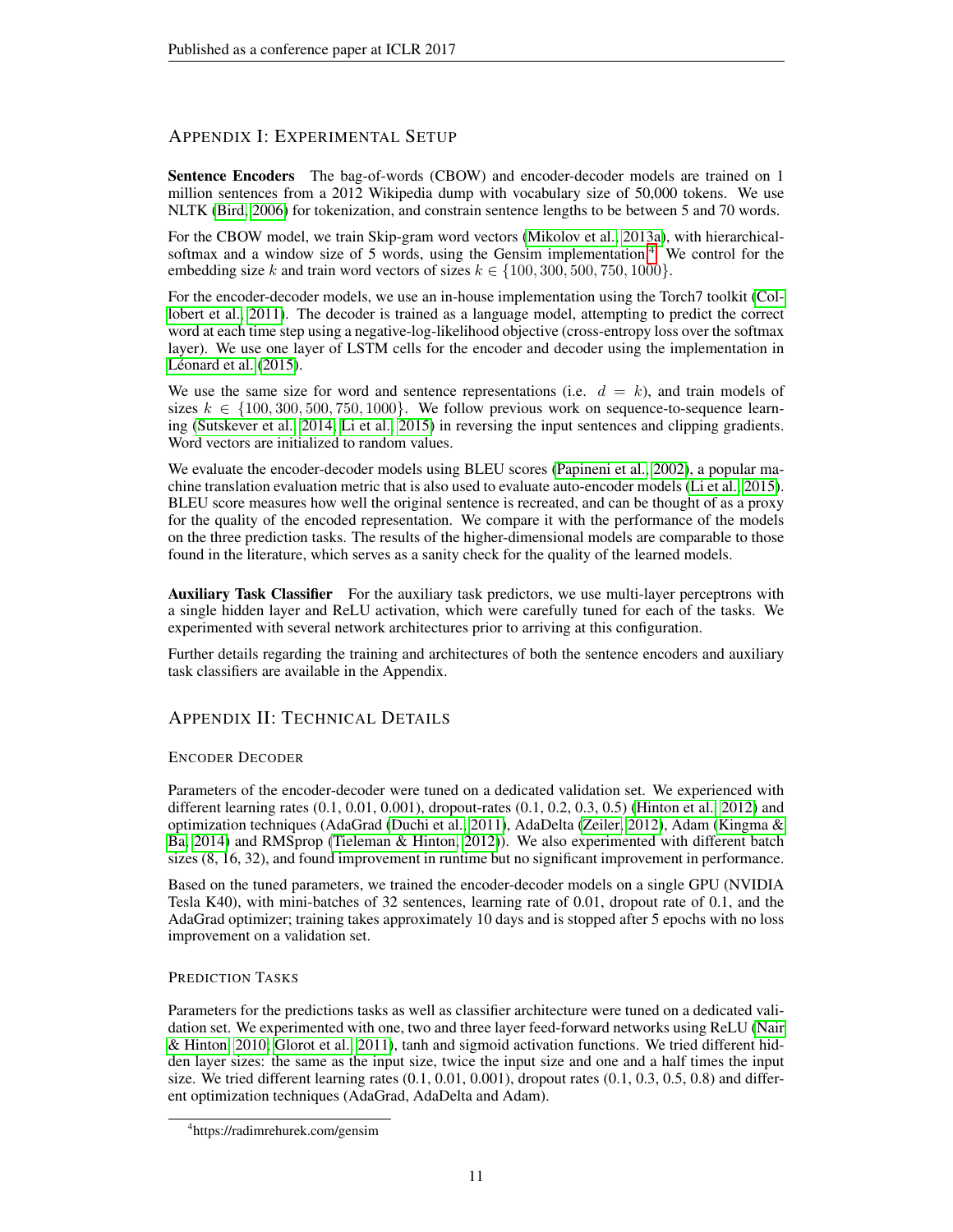# APPENDIX I: EXPERIMENTAL SETUP

Sentence Encoders The bag-of-words (CBOW) and encoder-decoder models are trained on 1 million sentences from a 2012 Wikipedia dump with vocabulary size of 50,000 tokens. We use NLTK [\(Bird, 2006\)](#page-8-10) for tokenization, and constrain sentence lengths to be between 5 and 70 words.

For the CBOW model, we train Skip-gram word vectors [\(Mikolov et al., 2013a\)](#page-9-0), with hierarchical-softmax and a window size of 5 words, using the Gensim implementation.<sup>[4](#page-10-0)</sup> We control for the embedding size k and train word vectors of sizes  $k \in \{100, 300, 500, 750, 1000\}$ .

For the encoder-decoder models, we use an in-house implementation using the Torch7 toolkit [\(Col](#page-8-11)[lobert et al., 2011\)](#page-8-11). The decoder is trained as a language model, attempting to predict the correct word at each time step using a negative-log-likelihood objective (cross-entropy loss over the softmax layer). We use one layer of LSTM cells for the encoder and decoder using the implementation in Léonard et al.  $(2015)$ .

We use the same size for word and sentence representations (i.e.  $d = k$ ), and train models of sizes  $k \in \{100, 300, 500, 750, 1000\}$ . We follow previous work on sequence-to-sequence learning [\(Sutskever et al., 2014;](#page-9-2) [Li et al., 2015\)](#page-9-3) in reversing the input sentences and clipping gradients. Word vectors are initialized to random values.

We evaluate the encoder-decoder models using BLEU scores [\(Papineni et al., 2002\)](#page-9-10), a popular machine translation evaluation metric that is also used to evaluate auto-encoder models [\(Li et al., 2015\)](#page-9-3). BLEU score measures how well the original sentence is recreated, and can be thought of as a proxy for the quality of the encoded representation. We compare it with the performance of the models on the three prediction tasks. The results of the higher-dimensional models are comparable to those found in the literature, which serves as a sanity check for the quality of the learned models.

Auxiliary Task Classifier For the auxiliary task predictors, we use multi-layer perceptrons with a single hidden layer and ReLU activation, which were carefully tuned for each of the tasks. We experimented with several network architectures prior to arriving at this configuration.

Further details regarding the training and architectures of both the sentence encoders and auxiliary task classifiers are available in the Appendix.

# APPENDIX II: TECHNICAL DETAILS

## ENCODER DECODER

Parameters of the encoder-decoder were tuned on a dedicated validation set. We experienced with different learning rates (0.1, 0.01, 0.001), dropout-rates (0.1, 0.2, 0.3, 0.5) [\(Hinton et al., 2012\)](#page-8-12) and optimization techniques (AdaGrad [\(Duchi et al., 2011\)](#page-8-13), AdaDelta [\(Zeiler, 2012\)](#page-9-11), Adam [\(Kingma &](#page-9-12) [Ba, 2014\)](#page-9-12) and RMSprop [\(Tieleman & Hinton, 2012\)](#page-9-13)). We also experimented with different batch sizes (8, 16, 32), and found improvement in runtime but no significant improvement in performance.

Based on the tuned parameters, we trained the encoder-decoder models on a single GPU (NVIDIA Tesla K40), with mini-batches of 32 sentences, learning rate of 0.01, dropout rate of 0.1, and the AdaGrad optimizer; training takes approximately 10 days and is stopped after 5 epochs with no loss improvement on a validation set.

## PREDICTION TASKS

Parameters for the predictions tasks as well as classifier architecture were tuned on a dedicated validation set. We experimented with one, two and three layer feed-forward networks using ReLU [\(Nair](#page-9-14) [& Hinton, 2010;](#page-9-14) [Glorot et al., 2011\)](#page-8-14), tanh and sigmoid activation functions. We tried different hidden layer sizes: the same as the input size, twice the input size and one and a half times the input size. We tried different learning rates  $(0.1, 0.01, 0.001)$ , dropout rates  $(0.1, 0.3, 0.5, 0.8)$  and different optimization techniques (AdaGrad, AdaDelta and Adam).

<span id="page-10-0"></span><sup>4</sup> https://radimrehurek.com/gensim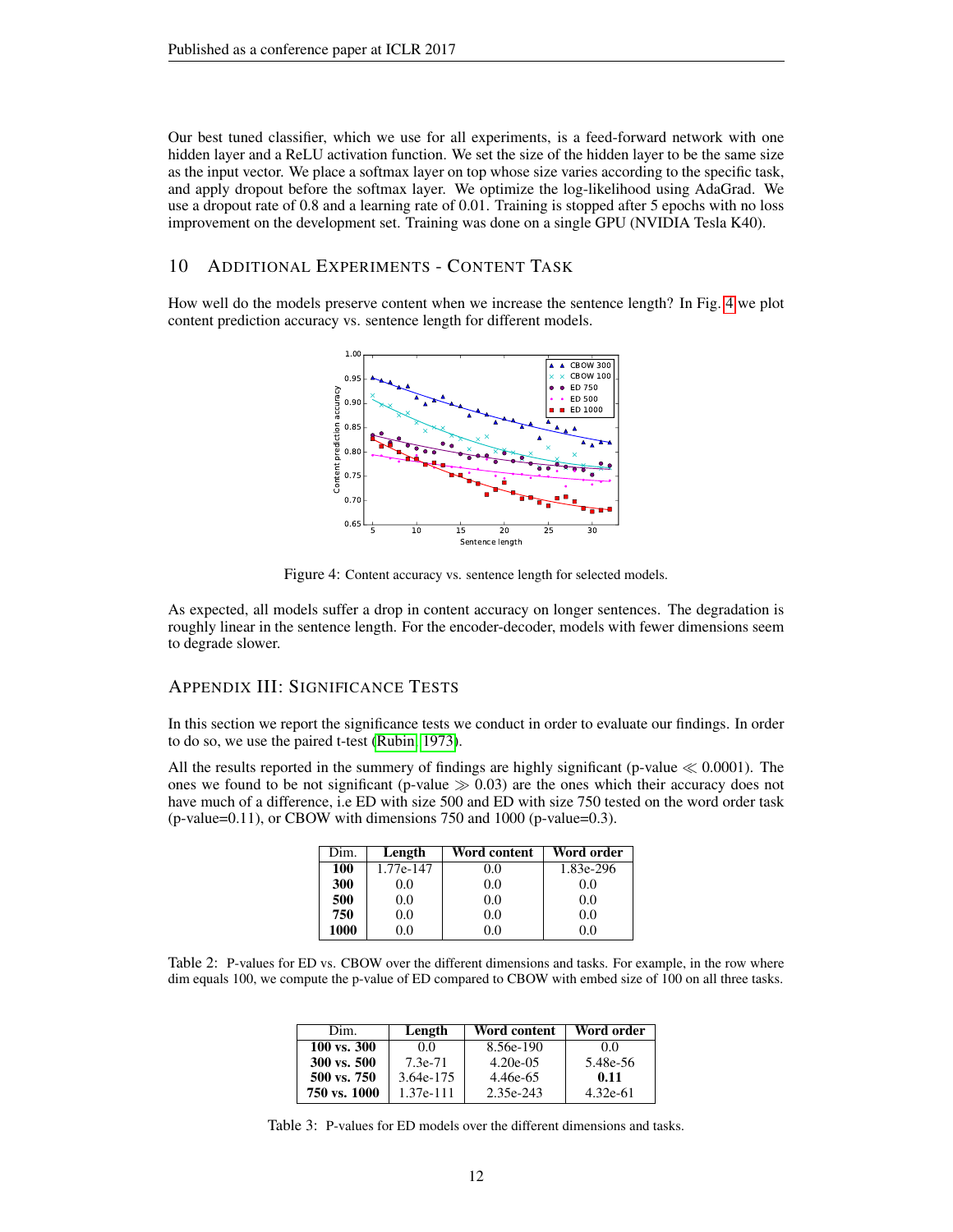Our best tuned classifier, which we use for all experiments, is a feed-forward network with one hidden layer and a ReLU activation function. We set the size of the hidden layer to be the same size as the input vector. We place a softmax layer on top whose size varies according to the specific task, and apply dropout before the softmax layer. We optimize the log-likelihood using AdaGrad. We use a dropout rate of 0.8 and a learning rate of 0.01. Training is stopped after 5 epochs with no loss improvement on the development set. Training was done on a single GPU (NVIDIA Tesla K40).

## 10 ADDITIONAL EXPERIMENTS - CONTENT TASK

<span id="page-11-0"></span>How well do the models preserve content when we increase the sentence length? In Fig. [4](#page-11-0) we plot content prediction accuracy vs. sentence length for different models.



Figure 4: Content accuracy vs. sentence length for selected models.

As expected, all models suffer a drop in content accuracy on longer sentences. The degradation is roughly linear in the sentence length. For the encoder-decoder, models with fewer dimensions seem to degrade slower.

# APPENDIX III: SIGNIFICANCE TESTS

In this section we report the significance tests we conduct in order to evaluate our findings. In order to do so, we use the paired t-test [\(Rubin, 1973\)](#page-9-15).

All the results reported in the summery of findings are highly significant (p-value  $\ll 0.0001$ ). The ones we found to be not significant (p-value  $\gg 0.03$ ) are the ones which their accuracy does not have much of a difference, i.e ED with size 500 and ED with size 750 tested on the word order task  $(p$ -value=0.11), or CBOW with dimensions 750 and 1000 (p-value=0.3).

| Dim. | Length    | Word content | Word order |
|------|-----------|--------------|------------|
| 100  | 1.77e-147 | 0.0          | 1.83e-296  |
| 300  | 0.0       | 0.0          | 0.0        |
| 500  | 0.0       | 0.0          | 0.0        |
| 750  | 0.0       | 0.0          | 0.0        |
| 1000 | 0.0       | 0.0          | 0.0        |

Table 2: P-values for ED vs. CBOW over the different dimensions and tasks. For example, in the row where dim equals 100, we compute the p-value of ED compared to CBOW with embed size of 100 on all three tasks.

| Dim.         | Length      | Word content | Word order |
|--------------|-------------|--------------|------------|
| 100 vs. 300  | 0.0         | 8.56e-190    | 00         |
| 300 vs. 500  | 7.3e-71     | $4.20e-0.5$  | 5.48e-56   |
| 500 vs. 750  | 3.64e-175   | 4.46e-65     | 0.11       |
| 750 vs. 1000 | $1.37e-111$ | 2.35e-243    | $4.32e-61$ |

Table 3: P-values for ED models over the different dimensions and tasks.